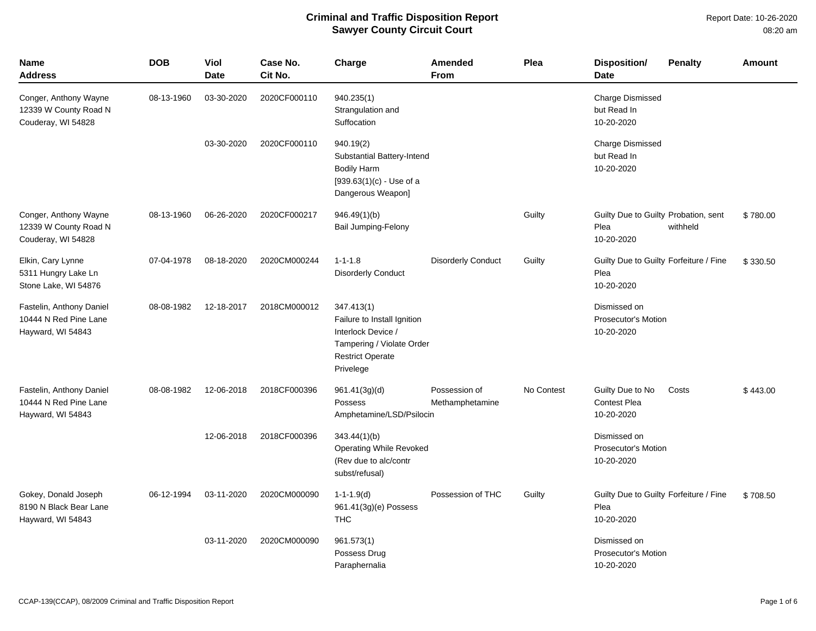| Name<br>Address                                                        | <b>DOB</b> | <b>Viol</b><br><b>Date</b> | Case No.<br>Cit No. | Charge                                                                                                                               | Amended<br><b>From</b>           | Plea       | <b>Disposition/</b><br><b>Date</b>                           | <b>Penalty</b> | <b>Amount</b> |
|------------------------------------------------------------------------|------------|----------------------------|---------------------|--------------------------------------------------------------------------------------------------------------------------------------|----------------------------------|------------|--------------------------------------------------------------|----------------|---------------|
| Conger, Anthony Wayne<br>12339 W County Road N<br>Couderay, WI 54828   | 08-13-1960 | 03-30-2020                 | 2020CF000110        | 940.235(1)<br>Strangulation and<br>Suffocation                                                                                       |                                  |            | <b>Charge Dismissed</b><br>but Read In<br>10-20-2020         |                |               |
|                                                                        |            | 03-30-2020                 | 2020CF000110        | 940.19(2)<br>Substantial Battery-Intend<br><b>Bodily Harm</b><br>$[939.63(1)(c) - Use of a$<br>Dangerous Weapon]                     |                                  |            | <b>Charge Dismissed</b><br>but Read In<br>10-20-2020         |                |               |
| Conger, Anthony Wayne<br>12339 W County Road N<br>Couderay, WI 54828   | 08-13-1960 | 06-26-2020                 | 2020CF000217        | 946.49(1)(b)<br><b>Bail Jumping-Felony</b>                                                                                           |                                  | Guilty     | Guilty Due to Guilty Probation, sent<br>Plea<br>10-20-2020   | withheld       | \$780.00      |
| Elkin, Cary Lynne<br>5311 Hungry Lake Ln<br>Stone Lake, WI 54876       | 07-04-1978 | 08-18-2020                 | 2020CM000244        | $1 - 1 - 1.8$<br><b>Disorderly Conduct</b>                                                                                           | <b>Disorderly Conduct</b>        | Guilty     | Guilty Due to Guilty Forfeiture / Fine<br>Plea<br>10-20-2020 |                | \$330.50      |
| Fastelin, Anthony Daniel<br>10444 N Red Pine Lane<br>Hayward, WI 54843 | 08-08-1982 | 12-18-2017                 | 2018CM000012        | 347.413(1)<br>Failure to Install Ignition<br>Interlock Device /<br>Tampering / Violate Order<br><b>Restrict Operate</b><br>Privelege |                                  |            | Dismissed on<br>Prosecutor's Motion<br>10-20-2020            |                |               |
| Fastelin, Anthony Daniel<br>10444 N Red Pine Lane<br>Hayward, WI 54843 | 08-08-1982 | 12-06-2018                 | 2018CF000396        | 961.41(3q)(d)<br>Possess<br>Amphetamine/LSD/Psilocin                                                                                 | Possession of<br>Methamphetamine | No Contest | Guilty Due to No<br><b>Contest Plea</b><br>10-20-2020        | Costs          | \$443.00      |
|                                                                        |            | 12-06-2018                 | 2018CF000396        | 343.44(1)(b)<br><b>Operating While Revoked</b><br>(Rev due to alc/contr<br>subst/refusal)                                            |                                  |            | Dismissed on<br>Prosecutor's Motion<br>10-20-2020            |                |               |
| Gokey, Donald Joseph<br>8190 N Black Bear Lane<br>Hayward, WI 54843    | 06-12-1994 | 03-11-2020                 | 2020CM000090        | $1 - 1 - 1.9(d)$<br>961.41(3g)(e) Possess<br><b>THC</b>                                                                              | Possession of THC                | Guilty     | Guilty Due to Guilty Forfeiture / Fine<br>Plea<br>10-20-2020 |                | \$708.50      |
|                                                                        |            | 03-11-2020                 | 2020CM000090        | 961.573(1)<br>Possess Drug<br>Paraphernalia                                                                                          |                                  |            | Dismissed on<br>Prosecutor's Motion<br>10-20-2020            |                |               |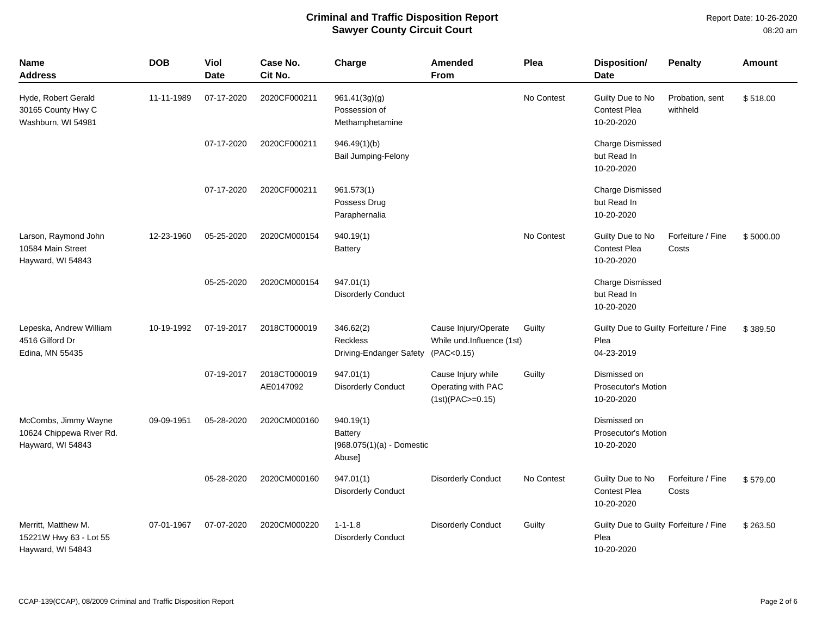| <b>Name</b><br><b>Address</b>                                         | <b>DOB</b> | Viol<br><b>Date</b> | Case No.<br>Cit No.       | Charge                                                        | Amended<br><b>From</b>                                          | Plea       | Disposition/<br><b>Date</b>                                  | <b>Penalty</b>              | <b>Amount</b> |
|-----------------------------------------------------------------------|------------|---------------------|---------------------------|---------------------------------------------------------------|-----------------------------------------------------------------|------------|--------------------------------------------------------------|-----------------------------|---------------|
| Hyde, Robert Gerald<br>30165 County Hwy C<br>Washburn, WI 54981       | 11-11-1989 | 07-17-2020          | 2020CF000211              | 961.41(3g)(g)<br>Possession of<br>Methamphetamine             |                                                                 | No Contest | Guilty Due to No<br><b>Contest Plea</b><br>10-20-2020        | Probation, sent<br>withheld | \$518.00      |
|                                                                       |            | 07-17-2020          | 2020CF000211              | 946.49(1)(b)<br>Bail Jumping-Felony                           |                                                                 |            | <b>Charge Dismissed</b><br>but Read In<br>10-20-2020         |                             |               |
|                                                                       |            | 07-17-2020          | 2020CF000211              | 961.573(1)<br>Possess Drug<br>Paraphernalia                   |                                                                 |            | <b>Charge Dismissed</b><br>but Read In<br>10-20-2020         |                             |               |
| Larson, Raymond John<br>10584 Main Street<br>Hayward, WI 54843        | 12-23-1960 | 05-25-2020          | 2020CM000154              | 940.19(1)<br><b>Battery</b>                                   |                                                                 | No Contest | Guilty Due to No<br><b>Contest Plea</b><br>10-20-2020        | Forfeiture / Fine<br>Costs  | \$5000.00     |
|                                                                       |            | 05-25-2020          | 2020CM000154              | 947.01(1)<br><b>Disorderly Conduct</b>                        |                                                                 |            | <b>Charge Dismissed</b><br>but Read In<br>10-20-2020         |                             |               |
| Lepeska, Andrew William<br>4516 Gilford Dr<br>Edina, MN 55435         | 10-19-1992 | 07-19-2017          | 2018CT000019              | 346.62(2)<br><b>Reckless</b><br>Driving-Endanger Safety       | Cause Injury/Operate<br>While und.Influence (1st)<br>(PAC<0.15) | Guilty     | Guilty Due to Guilty Forfeiture / Fine<br>Plea<br>04-23-2019 |                             | \$389.50      |
|                                                                       |            | 07-19-2017          | 2018CT000019<br>AE0147092 | 947.01(1)<br><b>Disorderly Conduct</b>                        | Cause Injury while<br>Operating with PAC<br>$(1st)(PAC = 0.15)$ | Guilty     | Dismissed on<br><b>Prosecutor's Motion</b><br>10-20-2020     |                             |               |
| McCombs, Jimmy Wayne<br>10624 Chippewa River Rd.<br>Hayward, WI 54843 | 09-09-1951 | 05-28-2020          | 2020CM000160              | 940.19(1)<br>Battery<br>$[968.075(1)(a) -$ Domestic<br>Abuse] |                                                                 |            | Dismissed on<br><b>Prosecutor's Motion</b><br>10-20-2020     |                             |               |
|                                                                       |            | 05-28-2020          | 2020CM000160              | 947.01(1)<br><b>Disorderly Conduct</b>                        | <b>Disorderly Conduct</b>                                       | No Contest | Guilty Due to No<br><b>Contest Plea</b><br>10-20-2020        | Forfeiture / Fine<br>Costs  | \$579.00      |
| Merritt, Matthew M.<br>15221W Hwy 63 - Lot 55<br>Hayward, WI 54843    | 07-01-1967 | 07-07-2020          | 2020CM000220              | $1 - 1 - 1.8$<br><b>Disorderly Conduct</b>                    | <b>Disorderly Conduct</b>                                       | Guilty     | Guilty Due to Guilty Forfeiture / Fine<br>Plea<br>10-20-2020 |                             | \$263.50      |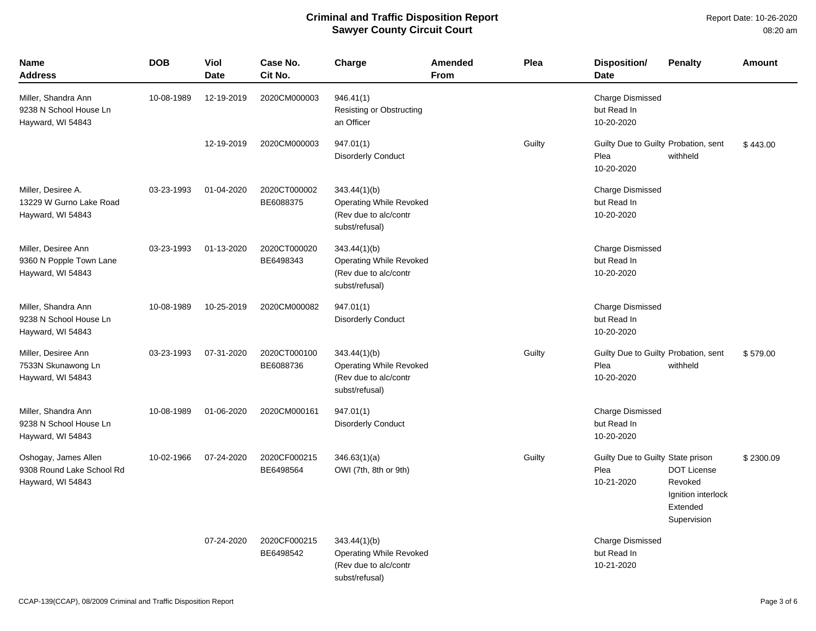Report Date: 10-26-2020 08:20 am

| Name<br><b>Address</b>                                                 | <b>DOB</b> | <b>Viol</b><br><b>Date</b> | Case No.<br>Cit No.       | Charge                                                                                    | <b>Amended</b><br><b>From</b> | Plea   | <b>Disposition/</b><br><b>Date</b>                         | <b>Penalty</b>                                                                 | <b>Amount</b> |
|------------------------------------------------------------------------|------------|----------------------------|---------------------------|-------------------------------------------------------------------------------------------|-------------------------------|--------|------------------------------------------------------------|--------------------------------------------------------------------------------|---------------|
| Miller, Shandra Ann<br>9238 N School House Ln<br>Hayward, WI 54843     | 10-08-1989 | 12-19-2019                 | 2020CM000003              | 946.41(1)<br>Resisting or Obstructing<br>an Officer                                       |                               |        | <b>Charge Dismissed</b><br>but Read In<br>10-20-2020       |                                                                                |               |
|                                                                        |            | 12-19-2019                 | 2020CM000003              | 947.01(1)<br><b>Disorderly Conduct</b>                                                    |                               | Guilty | Guilty Due to Guilty Probation, sent<br>Plea<br>10-20-2020 | withheld                                                                       | \$443.00      |
| Miller, Desiree A.<br>13229 W Gurno Lake Road<br>Hayward, WI 54843     | 03-23-1993 | 01-04-2020                 | 2020CT000002<br>BE6088375 | 343.44(1)(b)<br>Operating While Revoked<br>(Rev due to alc/contr<br>subst/refusal)        |                               |        | <b>Charge Dismissed</b><br>but Read In<br>10-20-2020       |                                                                                |               |
| Miller, Desiree Ann<br>9360 N Popple Town Lane<br>Hayward, WI 54843    | 03-23-1993 | 01-13-2020                 | 2020CT000020<br>BE6498343 | 343.44(1)(b)<br><b>Operating While Revoked</b><br>(Rev due to alc/contr<br>subst/refusal) |                               |        | Charge Dismissed<br>but Read In<br>10-20-2020              |                                                                                |               |
| Miller, Shandra Ann<br>9238 N School House Ln<br>Hayward, WI 54843     | 10-08-1989 | 10-25-2019                 | 2020CM000082              | 947.01(1)<br><b>Disorderly Conduct</b>                                                    |                               |        | <b>Charge Dismissed</b><br>but Read In<br>10-20-2020       |                                                                                |               |
| Miller, Desiree Ann<br>7533N Skunawong Ln<br>Hayward, WI 54843         | 03-23-1993 | 07-31-2020                 | 2020CT000100<br>BE6088736 | 343.44(1)(b)<br><b>Operating While Revoked</b><br>(Rev due to alc/contr<br>subst/refusal) |                               | Guilty | Guilty Due to Guilty Probation, sent<br>Plea<br>10-20-2020 | withheld                                                                       | \$579.00      |
| Miller, Shandra Ann<br>9238 N School House Ln<br>Hayward, WI 54843     | 10-08-1989 | 01-06-2020                 | 2020CM000161              | 947.01(1)<br><b>Disorderly Conduct</b>                                                    |                               |        | <b>Charge Dismissed</b><br>but Read In<br>10-20-2020       |                                                                                |               |
| Oshogay, James Allen<br>9308 Round Lake School Rd<br>Hayward, WI 54843 | 10-02-1966 | 07-24-2020                 | 2020CF000215<br>BE6498564 | 346.63(1)(a)<br>OWI (7th, 8th or 9th)                                                     |                               | Guilty | Guilty Due to Guilty State prison<br>Plea<br>10-21-2020    | <b>DOT License</b><br>Revoked<br>Ignition interlock<br>Extended<br>Supervision | \$2300.09     |
|                                                                        |            | 07-24-2020                 | 2020CF000215<br>BE6498542 | 343.44(1)(b)<br><b>Operating While Revoked</b><br>(Rev due to alc/contr<br>subst/refusal) |                               |        | <b>Charge Dismissed</b><br>but Read In<br>10-21-2020       |                                                                                |               |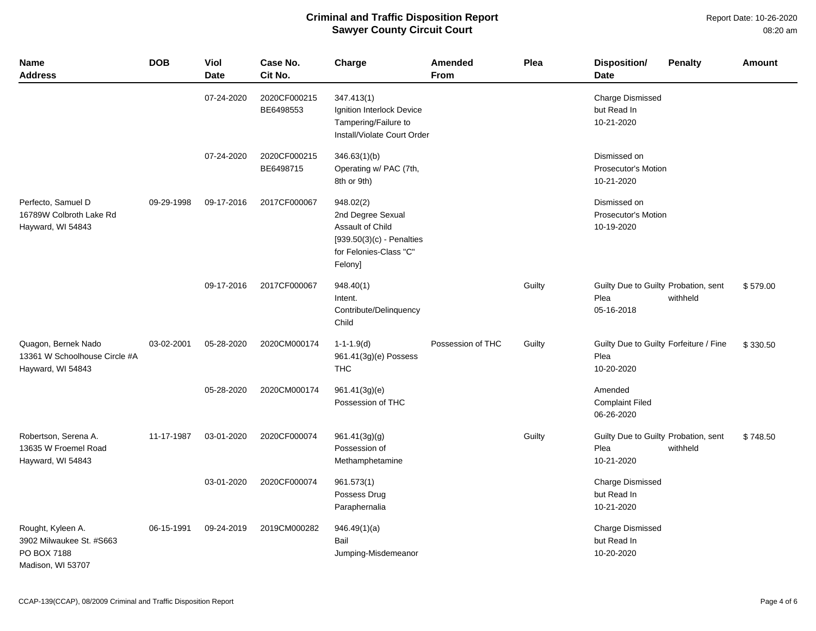#### Report Date: 10-26-2020 08:20 am

| <b>Name</b><br><b>Address</b>                                                     | <b>DOB</b> | Viol<br><b>Date</b> | Case No.<br>Cit No.       | Charge                                                                                                                 | Amended<br>From   | Plea   | <b>Disposition/</b><br><b>Date</b>                           | <b>Penalty</b> | <b>Amount</b> |
|-----------------------------------------------------------------------------------|------------|---------------------|---------------------------|------------------------------------------------------------------------------------------------------------------------|-------------------|--------|--------------------------------------------------------------|----------------|---------------|
|                                                                                   |            | 07-24-2020          | 2020CF000215<br>BE6498553 | 347.413(1)<br>Ignition Interlock Device<br>Tampering/Failure to<br>Install/Violate Court Order                         |                   |        | Charge Dismissed<br>but Read In<br>10-21-2020                |                |               |
|                                                                                   |            | 07-24-2020          | 2020CF000215<br>BE6498715 | 346.63(1)(b)<br>Operating w/ PAC (7th,<br>8th or 9th)                                                                  |                   |        | Dismissed on<br><b>Prosecutor's Motion</b><br>10-21-2020     |                |               |
| Perfecto, Samuel D<br>16789W Colbroth Lake Rd<br>Hayward, WI 54843                | 09-29-1998 | 09-17-2016          | 2017CF000067              | 948.02(2)<br>2nd Degree Sexual<br>Assault of Child<br>$[939.50(3)(c)$ - Penalties<br>for Felonies-Class "C"<br>Felony] |                   |        | Dismissed on<br>Prosecutor's Motion<br>10-19-2020            |                |               |
|                                                                                   |            | 09-17-2016          | 2017CF000067              | 948.40(1)<br>Intent.<br>Contribute/Delinquency<br>Child                                                                |                   | Guilty | Guilty Due to Guilty Probation, sent<br>Plea<br>05-16-2018   | withheld       | \$579.00      |
| Quagon, Bernek Nado<br>13361 W Schoolhouse Circle #A<br>Hayward, WI 54843         | 03-02-2001 | 05-28-2020          | 2020CM000174              | $1 - 1 - 1.9(d)$<br>961.41(3g)(e) Possess<br><b>THC</b>                                                                | Possession of THC | Guilty | Guilty Due to Guilty Forfeiture / Fine<br>Plea<br>10-20-2020 |                | \$330.50      |
|                                                                                   |            | 05-28-2020          | 2020CM000174              | 961.41(3g)(e)<br>Possession of THC                                                                                     |                   |        | Amended<br><b>Complaint Filed</b><br>06-26-2020              |                |               |
| Robertson, Serena A.<br>13635 W Froemel Road<br>Hayward, WI 54843                 | 11-17-1987 | 03-01-2020          | 2020CF000074              | 961.41(3g)(g)<br>Possession of<br>Methamphetamine                                                                      |                   | Guilty | Guilty Due to Guilty Probation, sent<br>Plea<br>10-21-2020   | withheld       | \$748.50      |
|                                                                                   |            | 03-01-2020          | 2020CF000074              | 961.573(1)<br>Possess Drug<br>Paraphernalia                                                                            |                   |        | Charge Dismissed<br>but Read In<br>10-21-2020                |                |               |
| Rought, Kyleen A.<br>3902 Milwaukee St. #S663<br>PO BOX 7188<br>Madison, WI 53707 | 06-15-1991 | 09-24-2019          | 2019CM000282              | 946.49(1)(a)<br>Bail<br>Jumping-Misdemeanor                                                                            |                   |        | <b>Charge Dismissed</b><br>but Read In<br>10-20-2020         |                |               |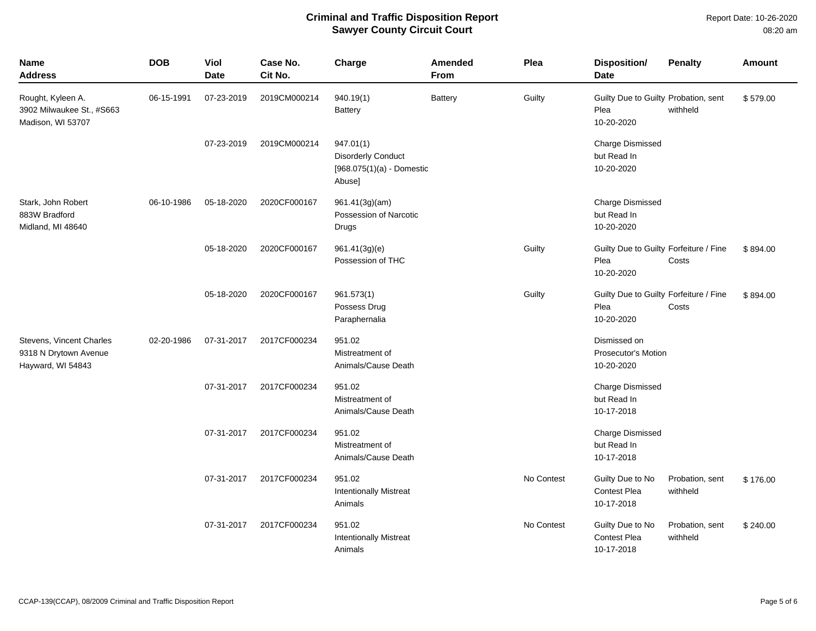| <b>Name</b><br>Address                                                 | <b>DOB</b> | Viol<br><b>Date</b> | Case No.<br>Cit No. | Charge                                                                          | Amended<br><b>From</b> | Plea       | Disposition/<br><b>Date</b>                                  | <b>Penalty</b>              | <b>Amount</b> |
|------------------------------------------------------------------------|------------|---------------------|---------------------|---------------------------------------------------------------------------------|------------------------|------------|--------------------------------------------------------------|-----------------------------|---------------|
| Rought, Kyleen A.<br>3902 Milwaukee St., #S663<br>Madison, WI 53707    | 06-15-1991 | 07-23-2019          | 2019CM000214        | 940.19(1)<br><b>Battery</b>                                                     | <b>Battery</b>         | Guilty     | Guilty Due to Guilty Probation, sent<br>Plea<br>10-20-2020   | withheld                    | \$579.00      |
|                                                                        |            | 07-23-2019          | 2019CM000214        | 947.01(1)<br><b>Disorderly Conduct</b><br>$[968.075(1)(a) -$ Domestic<br>Abuse] |                        |            | <b>Charge Dismissed</b><br>but Read In<br>10-20-2020         |                             |               |
| Stark, John Robert<br>883W Bradford<br>Midland, MI 48640               | 06-10-1986 | 05-18-2020          | 2020CF000167        | 961.41(3g)(am)<br>Possession of Narcotic<br>Drugs                               |                        |            | <b>Charge Dismissed</b><br>but Read In<br>10-20-2020         |                             |               |
|                                                                        |            | 05-18-2020          | 2020CF000167        | 961.41(3g)(e)<br>Possession of THC                                              |                        | Guilty     | Guilty Due to Guilty Forfeiture / Fine<br>Plea<br>10-20-2020 | Costs                       | \$894.00      |
|                                                                        |            | 05-18-2020          | 2020CF000167        | 961.573(1)<br>Possess Drug<br>Paraphernalia                                     |                        | Guilty     | Guilty Due to Guilty Forfeiture / Fine<br>Plea<br>10-20-2020 | Costs                       | \$894.00      |
| Stevens, Vincent Charles<br>9318 N Drytown Avenue<br>Hayward, WI 54843 | 02-20-1986 | 07-31-2017          | 2017CF000234        | 951.02<br>Mistreatment of<br>Animals/Cause Death                                |                        |            | Dismissed on<br><b>Prosecutor's Motion</b><br>10-20-2020     |                             |               |
|                                                                        |            | 07-31-2017          | 2017CF000234        | 951.02<br>Mistreatment of<br>Animals/Cause Death                                |                        |            | <b>Charge Dismissed</b><br>but Read In<br>10-17-2018         |                             |               |
|                                                                        |            | 07-31-2017          | 2017CF000234        | 951.02<br>Mistreatment of<br>Animals/Cause Death                                |                        |            | <b>Charge Dismissed</b><br>but Read In<br>10-17-2018         |                             |               |
|                                                                        |            | 07-31-2017          | 2017CF000234        | 951.02<br><b>Intentionally Mistreat</b><br>Animals                              |                        | No Contest | Guilty Due to No<br><b>Contest Plea</b><br>10-17-2018        | Probation, sent<br>withheld | \$176.00      |
|                                                                        |            | 07-31-2017          | 2017CF000234        | 951.02<br><b>Intentionally Mistreat</b><br>Animals                              |                        | No Contest | Guilty Due to No<br><b>Contest Plea</b><br>10-17-2018        | Probation, sent<br>withheld | \$240.00      |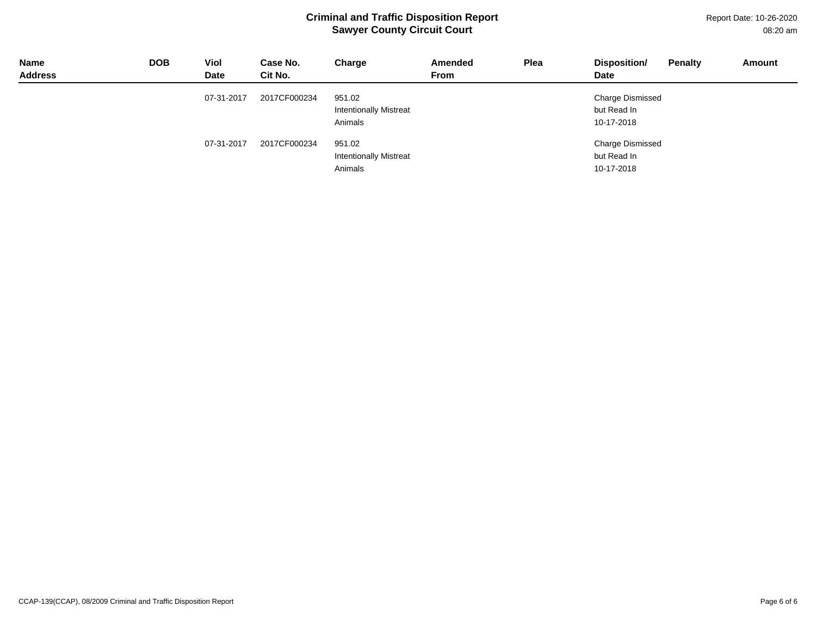Report Date: 10-26-2020 08:20 am

| <b>Name</b><br><b>Address</b> | <b>DOB</b> | Viol<br><b>Date</b> | Case No.<br>Cit No. | Charge                                             | Amended<br><b>From</b> | Plea | Disposition/<br>Date                                 | <b>Penalty</b> | Amount |
|-------------------------------|------------|---------------------|---------------------|----------------------------------------------------|------------------------|------|------------------------------------------------------|----------------|--------|
|                               |            | 07-31-2017          | 2017CF000234        | 951.02<br><b>Intentionally Mistreat</b><br>Animals |                        |      | <b>Charge Dismissed</b><br>but Read In<br>10-17-2018 |                |        |
|                               |            | 07-31-2017          | 2017CF000234        | 951.02<br><b>Intentionally Mistreat</b><br>Animals |                        |      | <b>Charge Dismissed</b><br>but Read In<br>10-17-2018 |                |        |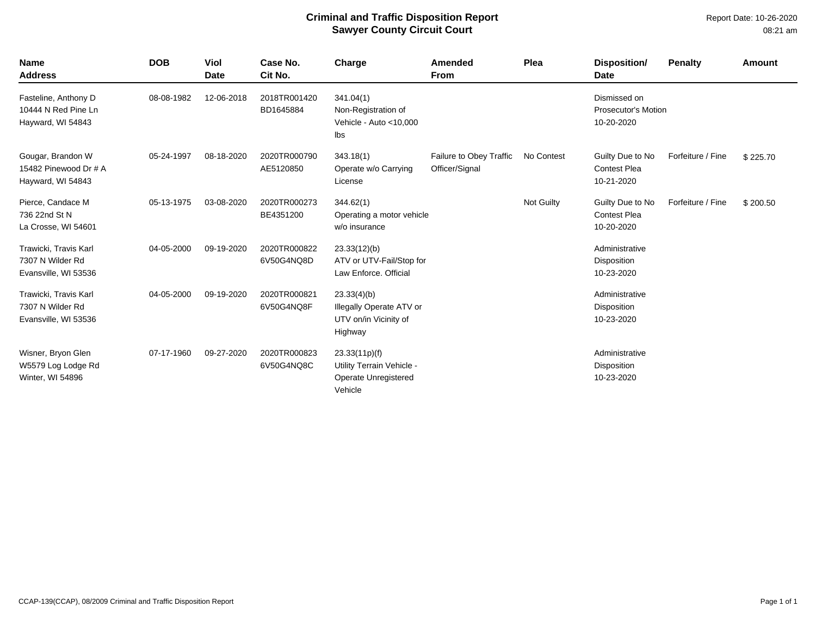| <b>Name</b><br><b>Address</b>                                     | <b>DOB</b> | <b>Viol</b><br><b>Date</b> | Case No.<br>Cit No.        | Charge                                                                        | Amended<br><b>From</b>                    | Plea       | Disposition/<br><b>Date</b>                              | <b>Penalty</b>    | <b>Amount</b> |
|-------------------------------------------------------------------|------------|----------------------------|----------------------------|-------------------------------------------------------------------------------|-------------------------------------------|------------|----------------------------------------------------------|-------------------|---------------|
| Fasteline, Anthony D<br>10444 N Red Pine Ln<br>Hayward, WI 54843  | 08-08-1982 | 12-06-2018                 | 2018TR001420<br>BD1645884  | 341.04(1)<br>Non-Registration of<br>Vehicle - Auto < 10,000<br>Ibs            |                                           |            | Dismissed on<br><b>Prosecutor's Motion</b><br>10-20-2020 |                   |               |
| Gougar, Brandon W<br>15482 Pinewood Dr # A<br>Hayward, WI 54843   | 05-24-1997 | 08-18-2020                 | 2020TR000790<br>AE5120850  | 343.18(1)<br>Operate w/o Carrying<br>License                                  | Failure to Obey Traffic<br>Officer/Signal | No Contest | Guilty Due to No<br><b>Contest Plea</b><br>10-21-2020    | Forfeiture / Fine | \$225.70      |
| Pierce, Candace M<br>736 22nd St N<br>La Crosse, WI 54601         | 05-13-1975 | 03-08-2020                 | 2020TR000273<br>BE4351200  | 344.62(1)<br>Operating a motor vehicle<br>w/o insurance                       |                                           | Not Guilty | Guilty Due to No<br><b>Contest Plea</b><br>10-20-2020    | Forfeiture / Fine | \$200.50      |
| Trawicki, Travis Karl<br>7307 N Wilder Rd<br>Evansville, WI 53536 | 04-05-2000 | 09-19-2020                 | 2020TR000822<br>6V50G4NQ8D | 23.33(12)(b)<br>ATV or UTV-Fail/Stop for<br>Law Enforce, Official             |                                           |            | Administrative<br>Disposition<br>10-23-2020              |                   |               |
| Trawicki, Travis Karl<br>7307 N Wilder Rd<br>Evansville, WI 53536 | 04-05-2000 | 09-19-2020                 | 2020TR000821<br>6V50G4NQ8F | 23.33(4)(b)<br>Illegally Operate ATV or<br>UTV on/in Vicinity of<br>Highway   |                                           |            | Administrative<br>Disposition<br>10-23-2020              |                   |               |
| Wisner, Bryon Glen<br>W5579 Log Lodge Rd<br>Winter, WI 54896      | 07-17-1960 | 09-27-2020                 | 2020TR000823<br>6V50G4NQ8C | 23.33(11p)(f)<br>Utility Terrain Vehicle -<br>Operate Unregistered<br>Vehicle |                                           |            | Administrative<br>Disposition<br>10-23-2020              |                   |               |